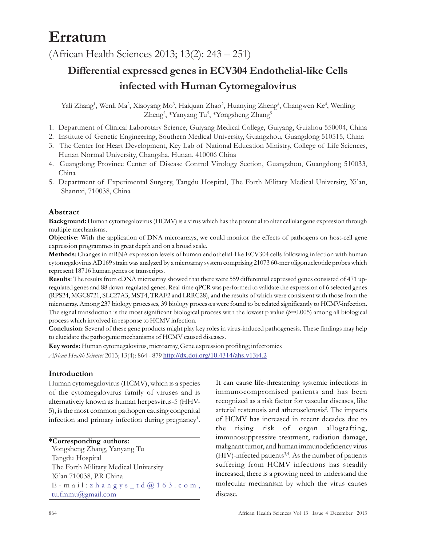# Erratum

(African Health Sciences 2013; 13(2): 243 – 251)

## Differential expressed genes in ECV304 Endothelial-like Cells infected with Human Cytomegalovirus

Yali Zhang<sup>1</sup>, Wenli Ma<sup>2</sup>, Xiaoyang Mo<sup>3</sup>, Haiquan Zhao<sup>2</sup>, Huanying Zheng<sup>4</sup>, Changwen Ke<sup>4</sup>, Wenling Zheng<sup>2</sup>, \*Yanyang Tu<sup>5</sup>, \*Yongsheng Zhang<sup>5</sup>

- 1. Department of Clinical Laborotary Science, Guiyang Medical College, Guiyang, Guizhou 550004, China
- 2. Institute of Genetic Engineering, Southern Medical University, Guangzhou, Guangdong 510515, China
- 3. The Center for Heart Development, Key Lab of National Education Ministry, College of Life Sciences, Hunan Normal University, Changsha, Hunan, 410006 China
- 4. Guangdong Province Center of Disease Control Virology Section, Guangzhou, Guangdong 510033, China
- 5. Department of Experimental Surgery, Tangdu Hospital, The Forth Military Medical University, Xi'an, Shannxi, 710038, China

## Abstract

Background: Human cytomegalovirus (HCMV) is a virus which has the potential to alter cellular gene expression through multiple mechanisms.

Objective: With the application of DNA microarrays, we could monitor the effects of pathogens on host-cell gene expression programmes in great depth and on a broad scale.

Methods: Changes in mRNA expression levels of human endothelial-like ECV304 cells following infection with human cytomegalovirus AD169 strain was analyzed by a microarray system comprising 21073 60-mer oligonucleotide probes which represent 18716 human genes or transcripts.

Results: The results from cDNA microarray showed that there were 559 differential expressed genes consisted of 471 upregulated genes and 88 down-regulated genes. Real-time qPCR was performed to validate the expression of 6 selected genes (RPS24, MGC8721, SLC27A3, MST4, TRAF2 and LRRC28), and the results of which were consistent with those from the microarray. Among 237 biology processes, 39 biology processes were found to be related significantly to HCMV-infection. The signal transduction is the most significant biological process with the lowest p value  $(p=0.005)$  among all biological process which involved in response to HCMV infection.

Conclusion: Several of these gene products might play key roles in virus-induced pathogenesis. These findings may help to elucidate the pathogenic mechanisms of HCMV caused diseases.

Key words: Human cytomegalovirus, microarray, Gene expression profiling; infectomics

African Health Sciences 2013; 13(4): 864 - 879 http://dx.doi.org/10.4314/ahs.v13i4.2

## Introduction

Human cytomegalovirus (HCMV), which is a species of the cytomegalovirus family of viruses and is alternatively known as human herpesvirus-5 (HHV-5), is the most common pathogen causing congenital infection and primary infection during pregnancy<sup>1</sup>.

## \*Corresponding authors:

Yongsheng Zhang, Yanyang Tu Tangdu Hospital The Forth Military Medical University Xi'an 710038, P.R China E - mail: zhang ys\_td@163.com tu.fmmu@gmail.com

It can cause life-threatening systemic infections in immunocompromised patients and has been recognized as a risk factor for vascular diseases, like arterial restenosis and atherosclerosis<sup>2</sup>. The impacts of HCMV has increased in recent decades due to the rising risk of organ allografting, immunosuppressive treatment, radiation damage, malignant tumor, and human immunodeficiency virus  $(HIV)$ -infected patients<sup>3,4</sup>. As the number of patients suffering from HCMV infections has steadily increased, there is a growing need to understand the molecular mechanism by which the virus causes disease.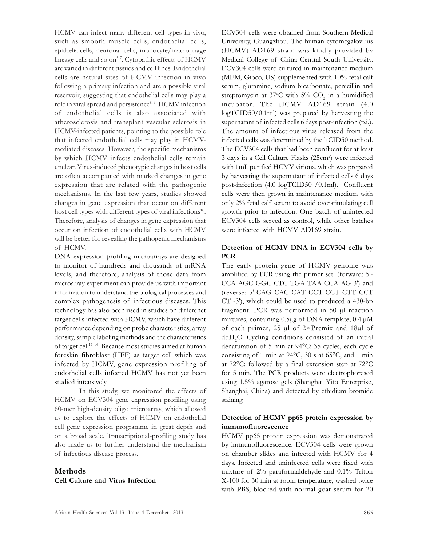HCMV can infect many different cell types in vivo, such as smooth muscle cells, endothelial cells, epithelialcells, neuronal cells, monocyte/macrophage lineage cells and so on<sup>5-7</sup>. Cytopathic effects of HCMV are varied in different tissues and cell lines. Endothelial cells are natural sites of HCMV infection in vivo following a primary infection and are a possible viral reservoir, suggesting that endothelial cells may play a role in viral spread and persistence<sup>8, 9</sup>. HCMV infection of endothelial cells is also associated with atherosclerosis and transplant vascular sclerosis in HCMV-infected patients, pointing to the possible role that infected endothelial cells may play in HCMVmediated diseases. However, the specific mechanisms by which HCMV infects endothelial cells remain unclear. Virus-induced phenotypic changes in host cells are often accompanied with marked changes in gene expression that are related with the pathogenic mechanisms. In the last few years, studies showed changes in gene expression that occur on different host cell types with different types of viral infections<sup>10</sup>. Therefore, analysis of changes in gene expression that occur on infection of endothelial cells with HCMV will be better for revealing the pathogenic mechanisms of HCMV.

DNA expression profiling microarrays are designed to monitor of hundreds and thousands of mRNA levels, and therefore, analysis of those data from microarray experiment can provide us with important information to understand the biological processes and complex pathogenesis of infectious diseases. This technology has also been used in studies on differenet target cells infected with HCMV, which have different performance depending on probe characteristics, array density, sample labeling methods and the characteristics of target cell11-14. Because most studies aimed at human foreskin fibroblast (HFF) as target cell which was infected by HCMV, gene expression profiling of endothelial cells infected HCMV has not yet been studied intensively.

In this study, we monitored the effects of HCMV on ECV304 gene expression profiling using 60-mer high-density oligo microarray, which allowed us to explore the effects of HCMV on endothelial cell gene expression programme in great depth and on a broad scale. Transcriptional-profiling study has also made us to further understand the mechanism of infectious disease process.

## Methods Cell Culture and Virus Infection

ECV304 cells were obtained from Southern Medical University, Guangzhou. The human cytomegalovirus (HCMV) AD169 strain was kindly provided by Medical College of China Central South University. ECV304 cells were cultured in maintenance medium (MEM, Gibco, US) supplemented with 10% fetal calf serum, glutamine, sodium bicarbonate, penicillin and streptomycin at 37°C with 5%  $CO<sub>2</sub>$  in a humidified incubator. The HCMV AD169 strain (4.0 logTCID50/0.1ml) was prepared by harvesting the supernatant of infected cells 6 days post-infection (p.i.). The amount of infectious virus released from the infected cells was determined by the TCID50 method. The ECV304 cells that had been confluent for at least 3 days in a Cell Culture Flasks (25cm<sup>2</sup> ) were infected with 1mL purified HCMV virions, which was prepared by harvesting the supernatant of infected cells 6 days post-infection (4.0 logTCID50 /0.1ml). Confluent cells were then grown in maintenance medium with only 2% fetal calf serum to avoid overstimulating cell growth prior to infection. One batch of uninfected ECV304 cells served as control, while other batches were infected with HCMV AD169 strain.

#### Detection of HCMV DNA in ECV304 cells by **PCR**

The early protein gene of HCMV genome was amplified by PCR using the primer set: (forward: 5'- CCA AGC GGC CTC TGA TAA CCA AG-3') and (reverse: 5'-CAG CAC CAT CCT CCT CTT CCT CT -3'), which could be used to produced a 430-bp fragment. PCR was performed in 50 µl reaction mixtures, containing 0.5µg of DNA template, 0.4 µM of each primer, 25 µl of 2×Premix and 18µl of ddH<sub>2</sub>O. Cycling conditions consisted of an initial denaturation of 5 min at 94°C; 35 cycles, each cycle consisting of 1 min at 94°C, 30 s at 65°C, and 1 min at 72°C; followed by a final extension step at 72°C for 5 min. The PCR products were electrophoresed using 1.5% agarose gels (Shanghai Yito Enterprise, Shanghai, China) and detected by ethidium bromide staining.

#### Detection of HCMV pp65 protein expression by immunofluorescence

HCMV pp65 protein expression was demonstrated by immunofluorescence. ECV304 cells were grown on chamber slides and infected with HCMV for 4 days. Infected and uninfected cells were fixed with mixture of 2% paraformaldehyde and 0.1% Triton X-100 for 30 min at room temperature, washed twice with PBS, blocked with normal goat serum for 20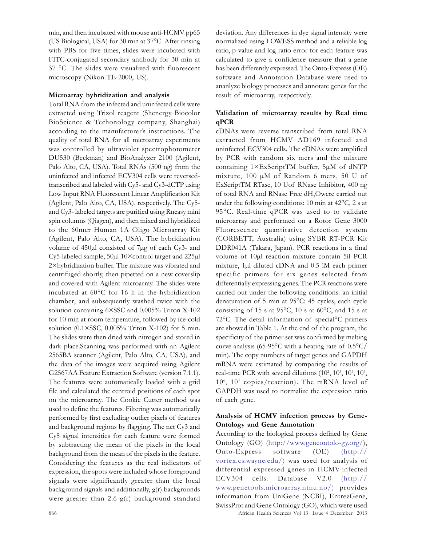min, and then incubated with mouse anti-HCMV pp65 (US Biological, USA) for 30 min at 37°C. After rinsing with PBS for five times, slides were incubated with FITC-conjugated secondary antibody for 30 min at 37 °C. The slides were visualized with fluorescent microscopy (Nikon TE-2000, US).

#### Microarray hybridization and analysis

Total RNA from the infected and uninfected cells were extracted using Trizol reagent (Shenergy Biocolor BioScience & Techonology company, Shanghai) according to the manufacturer's instructions. The quality of total RNA for all microarray experiments was controlled by ultraviolet spectrophotometer DU530 (Beckman) and BioAnalyzer 2100 (Agilent, Palo Alto, CA, USA). Total RNAs (500 ng) from the uninfected and infected ECV304 cells were reversedtranscribed and labeled with Cy5- and Cy3-dCTP using Low Input RNA Fluorescent Linear Amplification Kit (Agilent, Palo Alto, CA, USA), respectively. The Cy5 and Cy3- labeled targets are purified using Rneasy mini spin columns (Qiagen), and then mixed and hybridized to the 60mer Human 1A Oligo Microarray Kit (Agilent, Palo Alto, CA, USA). The hybridization volume of 450µl consisted of 7µg of each Cy3- and Cy5-labeled sample, 50µl 10×control target and 225µl 2×hybridization buffer. The mixture was vibrated and centrifuged shortly, then pipetted on a new coverslip and covered with Agilent microarray. The slides were incubated at 60°C for 16 h in the hybridization chamber, and subsequently washed twice with the solution containing 6×SSC and 0.005% Triton X-102 for 10 min at room temperature, followed by ice-cold solution (0.1×SSC, 0.005% Triton X-102) for 5 min. The slides were then dried with nitrogen and stored in dark place.Scanning was performed with an Agilent 2565BA scanner (Agilent, Palo Alto, CA, USA), and the data of the images were acquired using Agilent G2567AA Feature Extraction Software (version 7.1.1). The features were automatically loaded with a grid file and calculated the centroid positions of each spot on the microarray. The Cookie Cutter method was used to define the features. Filtering was automatically performed by first excluding outlier pixels of features and background regions by flagging. The net Cy3 and Cy5 signal intensities for each feature were formed by subtracting the mean of the pixels in the local background from the mean of the pixels in the feature. Considering the features as the real indicators of expression, the spots were included whose foreground signals were significantly greater than the local background signals and additionally, g(r) backgrounds were greater than 2.6  $g(r)$  background standard

deviation. Any differences in dye signal intensity were normalized using LOWESS method and a reliable log ratio, p-value and log ratio error for each feature was calculated to give a confidence measure that a gene has been differently expressed. The Onto-Express (OE) software and Annotation Database were used to ananlyze biology processes and annotate genes for the result of microarray, respectively.

#### Validation of microarray results by Real time qPCR

cDNAs were reverse transcribed from total RNA extracted from HCMV AD169 infected and uninfected ECV304 cells. The cDNAs were amplified by PCR with random six mers and the mixture containing 1×ExScriptTM buffer, 5µM of dNTP mixture, 100 µM of Random 6 mers, 50 U of ExScriptTM RTase, 10 Uof RNase Inhibitor, 400 ng of total RNA and RNase Free dH<sub>2</sub>Owere carried out under the following conditions: 10 min at 42°C, 2 s at 95°C. Real-time qPCR was used to to validate microarray and performed on a Rotor Gene 3000 Fluorescence quantitative detection system (CORBETT, Australia) using SYBR RT-PCR Kit DDR041A (Takara, Japan). PCR reactions in a final volume of 10µl reaction mixture contain 5ìl PCR mixture, 1µl diluted cDNA and 0.5 ìM each primer specific primers for six genes selected from differentially expressing genes. The PCR reactions were carried out under the following conditions: an initial denaturation of 5 min at 95°C; 45 cycles, each cycle consisting of 15 s at 95°C, 10 s at 60°C, and 15 s at 72°C. The detail information of special°C primers are showed in Table 1. At the end of the program, the specificity of the primer set was confirmed by melting curve analysis (65-95 $\degree$ C with a heating rate of 0.5 $\degree$ C/ min). The copy numbers of target genes and GAPDH mRNA were estimated by comparing the results of real-time PCR with several dilutions  $(10^2, 10^3, 10^4, 10^5,$ 10<sup>6</sup> , 10<sup>7</sup> copies/reaction). The mRNA level of GAPDH was used to normalize the expression ratio of each gene.

#### Analysis of HCMV infection process by Gene-Ontology and Gene Annotation

According to the biological process defined by Gene Ontology (GO) (http://www.geneontolo-gy.org/), Onto-Express software (OE) (http:// vortex.cs.wayne.edu/) was used for analysis of differential expressed genes in HCMV-infected ECV304 cells. Database V2.0 (http:// www.genetools.microarray.ntnu.no/) provides information from UniGene (NCBI), EntrezGene, SwissProt and Gene Ontology (GO), which were used

866 African Health Sciences Vol 13 Issue 4 December 2013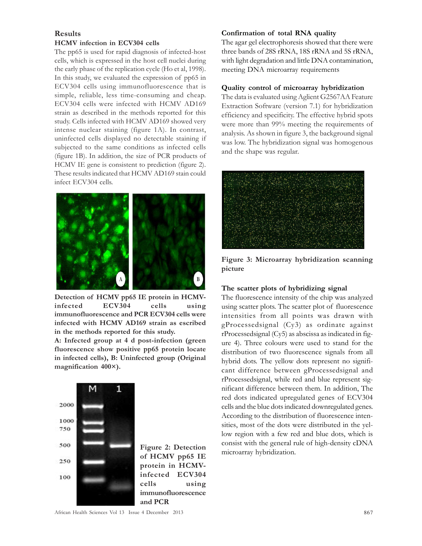## Results

#### HCMV infection in ECV304 cells

The pp65 is used for rapid diagnosis of infected-host cells, which is expressed in the host cell nuclei during the early phase of the replication cycle (Ho et al, 1998). In this study, we evaluated the expression of pp65 in ECV304 cells using immunofluorescence that is simple, reliable, less time-consuming and cheap. ECV304 cells were infected with HCMV AD169 strain as described in the methods reported for this study. Cells infected with HCMV AD169 showed very intense nuclear staining (figure 1A). In contrast, uninfected cells displayed no detectable staining if subjected to the same conditions as infected cells (figure 1B). In addition, the size of PCR products of HCMV IE gene is consistent to prediction (figure 2). These results indicated that HCMV AD169 stain could infect ECV304 cells.



Detection of HCMV pp65 IE protein in HCMVinfected ECV304 cells using immunofluorescence and PCR ECV304 cells were infected with HCMV AD169 strain as escribed in the methods reported for this study.

A: Infected group at 4 d post-infection (green fluorescence show positive pp65 protein locate in infected cells), B: Uninfected group (Original magnification 400×).



Figure 2: Detection of HCMV pp65 IE protein in HCMVinfected ECV304 cells using immunofluorescence and PCR

#### Confirmation of total RNA quality

The agar gel electrophoresis showed that there were three bands of 28S rRNA, 18S rRNA and 5S rRNA, with light degradation and little DNA contamination, meeting DNA microarray requirements

#### Quality control of microarray hybridization

The data is evaluated using Aglient G2567AA Feature Extraction Software (version 7.1) for hybridization efficiency and specificity. The effective hybrid spots were more than 99% meeting the requirements of analysis. As shown in figure 3, the background signal was low. The hybridization signal was homogenous and the shape was regular.



Figure 3: Microarray hybridization scanning picture

#### The scatter plots of hybridizing signal

The fluorescence intensity of the chip was analyzed using scatter plots. The scatter plot of fluorescence intensities from all points was drawn with gProcessedsignal (Cy3) as ordinate against rProcessedsignal (Cy5) as abscissa as indicated in figure 4). Three colours were used to stand for the distribution of two fluorescence signals from all hybrid dots. The yellow dots represent no significant difference between gProcessedsignal and rProcessedsignal, while red and blue represent significant difference between them. In addition, The red dots indicated upregulated genes of ECV304 cells and the blue dots indicated downregulated genes. According to the distribution of fluorescence intensities, most of the dots were distributed in the yellow region with a few red and blue dots, which is consist with the general rule of high-density cDNA microarray hybridization.

African Health Sciences Vol 13 Issue 4 December 2013 867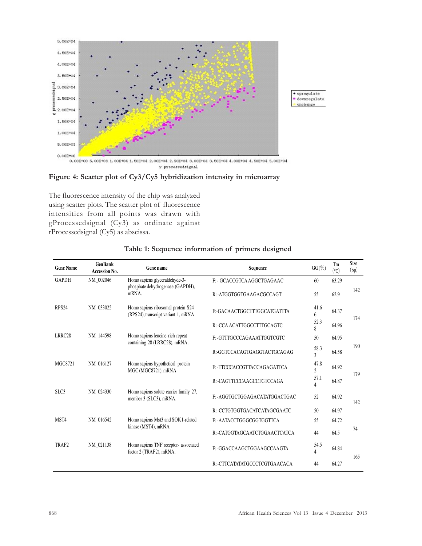





The fluorescence intensity of the chip was analyzed using scatter plots. The scatter plot of fluorescence intensities from all points was drawn with gProcessedsignal (Cy3) as ordinate against rProcessedsignal (Cy5) as abscissa.

| <b>Gene Name</b> | <b>GenBank</b><br><b>Accession No.</b> | Gene name                                                                 | <b>Sequence</b>                | $GG(^{0}_{0})$                   | Tm<br>$^{\circ}$ C) | Size<br>(bp) |
|------------------|----------------------------------------|---------------------------------------------------------------------------|--------------------------------|----------------------------------|---------------------|--------------|
| <b>GAPDH</b>     | NM 002046                              | Homo sapiens glyceraldehyde-3-<br>phosphate dehydrogenase (GAPDH),        | F: - GCACCGTCA AGGCTGAGAAC     | 60                               | 63.29               |              |
|                  |                                        | mRNA.                                                                     | R: - ATGGTGGTGAAGACGCCAGT      | 55                               | 62.9                | 142          |
| RPS24            | NM 033022                              | Homo sapiens ribosomal protein S24<br>(RPS24), transcript variant 1, mRNA | F:-GACAACTGGCTTTGGCATGATTTA    | 41.6<br>6                        | 64.37               | 174          |
|                  |                                        |                                                                           | R: -CCA ACATTGGCCTTTGCAGTC     | 52.3<br>8                        | 64.96               |              |
| LRRC28           | NM 144598                              | Homo sapiens leucine rich repeat<br>containing 28 (LRRC28), mRNA.         | F: -GTTTGCCCAGAAATTGGTCGTC     | 50                               | 64.95               |              |
|                  |                                        |                                                                           | R:-GGTCCACAGTGAGGTACTGCAGAG    | 58.3<br>$\overline{\mathcal{L}}$ | 64.58               | 190          |
| <b>MGC8721</b>   | NM 016127                              | Homo sapiens hypothetical protein<br>MGC (MGC8721), mRNA                  | F: -TTCCCACCGTTACCAGAGATTCA    | 47.8<br>$\overline{2}$           | 64.92               | 179          |
|                  |                                        |                                                                           | R: -CAGTTCCCAAGCCTGTCCAGA      | 57.1<br>4                        | 64.87               |              |
| SLC <sub>3</sub> | NM 024330                              | Homo sapiens solute carrier family 27,<br>member 3 (SLC3), mRNA.          | F: - AGGTGCTGGAGACATATGGACTGAC | 52                               | 64.92               | 142          |
|                  |                                        |                                                                           | R: -CCTGTGGTGACATCATAGCGAATC   | 50                               | 64.97               |              |
| MST4             | NM 016542                              | Homo sapiens Mst3 and SOK1-related                                        | F: - AATACCTGGGCGGTGGTTCA      | 55                               | 64.72               |              |
|                  |                                        | kinase (MST4), mRNA                                                       | R: -CATGGTAGCAATCTGGAACTCATCA  | 44                               | 64.5                | 74           |
| TRAF2            | NM_021138                              | Homo sapiens TNF receptor-associated<br>factor 2 (TRAF2), mRNA.           | F: -GGACCAAGCTGGAAGCCAAGTA     | 54.5<br>4                        | 64.84               | 165          |
|                  |                                        |                                                                           | R: -CTTCATATATGCCCTCGTGAACACA  | 44                               | 64.27               |              |

#### Table 1: Sequence information of primers designed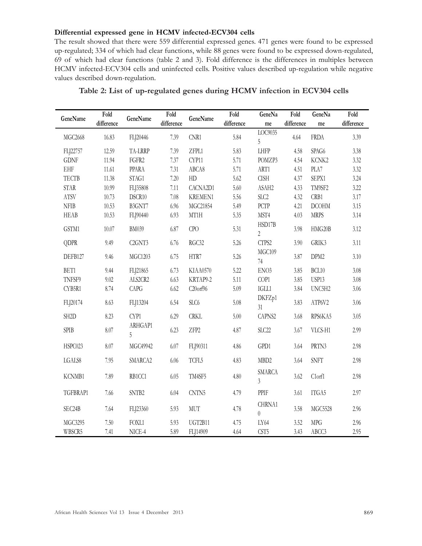#### Differential expressed gene in HCMV infected-ECV304 cells

The result showed that there were 559 differential expressed genes. 471 genes were found to be expressed up-regulated; 334 of which had clear functions, while 88 genes were found to be expressed down-regulated, 69 of which had clear functions (table 2 and 3). Fold difference is the differences in multiples between HCMV infected-ECV304 cells and uninfected cells. Positive values described up-regulation while negative values described down-regulation.

| GeneName          | Fold       | GeneName                        | Fold             | GeneName       | Fold       | GeneNa                   | Fold       | GeneNa           | Fold             |
|-------------------|------------|---------------------------------|------------------|----------------|------------|--------------------------|------------|------------------|------------------|
|                   | difference |                                 | $\it difference$ |                | difference | me                       | difference | me               | $\it difference$ |
| MGC2668           | 16.83      | FLJ20446                        | 7.39             | CNR1           | 5.84       | LOC9035<br>5             | 4.64       | <b>FRDA</b>      | 3.39             |
| FLJ22757          | 12.59      | TA-LRRP                         | 7.39             | ZFPL1          | 5.83       | LHFP                     | 4.58       | SPAG6            | 3.38             |
| <b>GDNF</b>       | 11.94      | FGFR2                           | 7.37             | CYP11          | 5.71       | POMZP3                   | 4.54       | KCNK2            | 3.32             |
| EHF               | 11.61      | PPARA                           | 7.31             | ABCA8          | 5.71       | ART1                     | 4.51       | PLA7             | 3.32             |
| <b>TECTB</b>      | 11.38      | STAG1                           | 7.20             | HD             | 5.62       | <b>CISH</b>              | 4.37       | SEPX1            | 3.24             |
| STAR              | 10.99      | FLJ35808                        | 7.11             | CACNA2D1       | $5.60\,$   | ASAH2                    | 4.33       | TM9SF2           | 3.22             |
| ATSV              | 10.73      | DSCR10                          | 7.08             | <b>KREMEN1</b> | 5.56       | SLC <sub>2</sub>         | 4.32       | CRB1             | 3.17             |
| <b>NFIB</b>       | 10.53      | B3GNT7                          | 6.96             | MGC21854       | 5.49       | PCTP                     | 4.21       | <b>DCOHM</b>     | 3.15             |
| HEAB              | 10.53      | FLJ90440                        | 6.93             | MT1H           | 5.35       | MST4                     | 4.03       | <b>MRPS</b>      | 3.14             |
| GSTM1             | 10.07      | <b>BM039</b>                    | 6.87             | CPO            | 5.31       | HSD17B<br>$\overline{2}$ | 3.98       | HMG20B           | 3.12             |
| <b>QDPR</b>       | 9.49       | C <sub>2</sub> GNT <sub>3</sub> | 6.76             | RGC32          | 5.26       | CTPS2                    | 3.90       | GRIK3            | 3.11             |
| DEFB127           | 9.46       | MGC1203                         | 6.75             | HTR7           | 5.26       | MGC109<br>74             | 3.87       | DPM <sub>2</sub> | 3.10             |
| BET1              | 9.44       | FLJ21865                        | 6.73             | KIAA0570       | 5.22       | ENO3                     | 3.85       | BCL10            | 3.08             |
| TNFSF9            | 9.02       | ALS2CR2                         | 6.63             | KRTAP9-2       | 5.11       | COP1                     | 3.85       | USP13            | 3.08             |
| CYB5R1            | 8.74       | <b>CAPG</b>                     | 6.62             | C20orf96       | 5.09       | $\rm IGL1$               | 3.84       | UNC5H2           | 3.06             |
| FLJ20174          | 8.63       | FLJ13204                        | 6.54             | SLC6           | $5.08\,$   | DKFZp1<br>31             | 3.83       | ATP6V2           | 3.06             |
| SH <sub>2</sub> D | 8.23       | CYP1                            | 6.29             | <b>CRKL</b>    | 5.00       | CAPNS2                   | 3.68       | RPS6KA5          | 3.05             |
| SPIB              | 8.07       | ARHGAP1<br>5                    | 6.23             | ZFP2           | 4.87       | SLC <sub>22</sub>        | 3.67       | VLCS-H1          | 2.99             |
| HSPC023           | 8.07       | MGC49942                        | 6.07             | FLJ90311       | 4.86       | GPD1                     | 3.64       | PRTN3            | 2.98             |
| LGALS8            | 7.95       | SMARCA2                         | $6.06\,$         | TCFL5          | 4.83       | MBD <sub>2</sub>         | 3.64       | SNFT             | 2.98             |
| KCNMB1            | 7.89       | RB1CC1                          | 6.05             | TM4SF5         | 4.80       | SMARCA<br>3              | 3.62       | C1orf1           | 2.98             |
| TGFBRAP1          | 7.66       | SNTB2                           | 6.04             | CNTN5          | 4.79       | PPIF                     | 3.61       | ITGA5            | 2.97             |
| SEC24B            | 7.64       | FLJ23360                        | 5.93             | $\text{MUT}$   | 4.78       | CHRNA1<br>$\theta$       | 3.58       | MGC5528          | 2.96             |
| MGC3295           | 7.50       | <b>FOXL1</b>                    | 5.93             | UGT2B11        | 4.75       | LY64                     | 3.52       | ${\rm MPC}$      | 2.96             |
| WBSCR5            | 7.41       | NICE-4                          | 5.89             | FLJ14909       | 4.64       | CST <sub>5</sub>         | 3.43       | ABCC3            | 2.95             |

Table 2: List of up-regulated genes during HCMV infection in ECV304 cells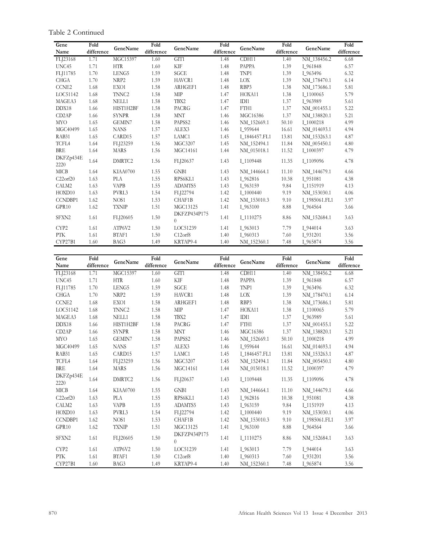Table 2 Continued

| Gene               | Fold       | GeneName           | Fold       | GeneName                 | Fold       | GeneName      | Fold       | GeneName      | Fold       |
|--------------------|------------|--------------------|------------|--------------------------|------------|---------------|------------|---------------|------------|
| Name               | difference |                    | difference |                          | difference |               | difference |               | difference |
| FLJ23168           | 1.71       | MGC15397           | 1.60       | GIT1                     | 1.48       | CDH11         | 1.40       | NM 138456.2   | 6.68       |
| UNC45              | 1.71       | <b>HTR</b>         | 1.60       | <b>KIF</b>               | 1.48       | PAPPA         | 1.39       | I 961848      | 6.57       |
| FLJ11785           | 1.70       | LENG5              | 1.59       | SGCE                     | 1.48       | TNP1          | 1.39       | I 963496      | 6.32       |
| <b>CHGA</b>        | 1.70       | NRP2               | 1.59       | HAVCR1                   | 1.48       | <b>LOX</b>    | 1.39       | NM 178470.1   | 6.14       |
| CCNE2              | 1.68       | EXO1               | 1.58       | ARHGEF1                  | 1.48       | RBP3          | 1.38       | NM 173686.1   | 5.81       |
| LOC51142           | 1.68       | TNNC <sub>2</sub>  | 1.58       | <b>MIP</b>               | 1.47       | HOXA11        | 1.38       | I 1100065     | 5.79       |
| MAGEA3             | 1.68       | NELL1              | 1.58       | TBX2                     | 1.47       | IDI1          | 1.37       | I 963989      | 5.61       |
| DDX18              | 1.66       | HIST1H2BF          | 1.58       | <b>PACRG</b>             | 1.47       | FTH1          | 1.37       | NM 001455.1   | 5.22       |
| CD <sub>2</sub> AP | 1.66       | <b>SYNPR</b>       | 1.58       | <b>MNT</b>               | 1.46       | MGC16386      | 1.37       | NM 138820.1   | 5.21       |
| <b>MYO</b>         | 1.65       | <b>GEMIN7</b>      | 1.58       | PAPSS2                   | 1.46       | NM_152669.1   | 50.10      | I_1000218     | 4.99       |
| MGC40499           | 1.65       | <b>NANS</b>        | 1.57       | ALEX3                    | 1.46       | I 959644      | 16.61      | NM 014693.1   | 4.94       |
| RAB31              | 1.65       | CARD <sub>15</sub> | 1.57       | LAMC1                    | 1.45       | I_1846457.FL1 | 13.81      | NM_153263.1   | 4.87       |
| TCFL4              | 1.64       | FLJ23259           | 1.56       | MGC3207                  | 1.45       | NM 152494.1   | 11.84      | NM 005450.1   | 4.80       |
| <b>BRE</b>         | 1.64       | <b>MARS</b>        | 1.56       | MGC14161                 | 1.44       | NM 015018.1   | 11.52      | I_1000397     | 4.79       |
| DKFZp434E<br>2220  | 1.64       | DMRTC2             | 1.56       | FLJ20637                 | 1.43       | I_1109448     | 11.35      | I 1109096     | 4.78       |
| <b>MICB</b>        | 1.64       | KIAA0700           | 1.55       | GNB1                     | 1.43       | NM_144664.1   | 11.10      | NM 144679.1   | 4.66       |
| $C22$ orf $20$     | 1.63       | <b>PLA</b>         | 1.55       | RPS6KL1                  | 1.43       | I 962816      | 10.38      | I 951081      | 4.38       |
| CALM2              | 1.63       | <b>VAPB</b>        | 1.55       | ADAMTS5                  | 1.43       | I 963159      | 9.84       | I 1151919     | 4.13       |
| HOXD10             | 1.63       | PVRL3              | 1.54       | FLJ22794                 | 1.42       | I 1000440     | 9.19       | NM_153030.1   | 4.06       |
| <b>CCNDBP1</b>     | 1.62       | NOS <sub>1</sub>   | 1.53       | CHAF1B                   | 1.42       | NM 153010.3   | 9.10       | I 1985061.FL1 | 3.97       |
| GPR <sub>10</sub>  | 1.62       | <b>TXNIP</b>       | 1.51       | MGC13125                 | 1.41       | I_963100      | 8.88       | I 964564      | 3.66       |
| SFXN2              | 1.61       | FLJ20605           | 1.50       | DKFZP434P175<br>$\theta$ | 1.41       | I 1110275     | 8.86       | NM_152684.1   | 3.63       |
| CYP2               | 1.61       | ATP6V2             | 1.50       | LOC51239                 | 1.41       | I 963013      | 7.79       | I 944014      | 3.63       |
| <b>PTK</b>         | 1.61       | BTAF1              | 1.50       | C12 <sub>orf</sub> 8     | 1.40       | I_960313      | 7.60       | I 931201      | 3.56       |
| CYP27B1            | 1.60       | BAG3               | 1.49       | KRTAP9-4                 | 1.40       | NM_152360.1   | 7.48       | I 965874      | 3.56       |

| Gene               | Fold       | GeneName          | Fold       | GeneName                 | Fold       | GeneName      | Fold       | GeneName      | Fold       |
|--------------------|------------|-------------------|------------|--------------------------|------------|---------------|------------|---------------|------------|
| Name               | difference |                   | difference |                          | difference |               | difference |               | difference |
| FLJ23168           | 1.71       | MGC15397          | 1.60       | GIT1                     | 1.48       | CDH11         | 1.40       | NM_138456.2   | 6.68       |
| UNC45              | 1.71       | <b>HTR</b>        | 1.60       | <b>KIF</b>               | 1.48       | PAPPA         | 1.39       | I 961848      | 6.57       |
| FLJ11785           | 1.70       | LENG5             | 1.59       | SGCE                     | 1.48       | TNP1          | 1.39       | I 963496      | 6.32       |
| <b>CHGA</b>        | 1.70       | NRP2              | 1.59       | HAVCR1                   | 1.48       | LOX           | 1.39       | NM 178470.1   | 6.14       |
| CCNE2              | 1.68       | EXO1              | 1.58       | ARHGEF1                  | 1.48       | RBP3          | 1.38       | NM_173686.1   | 5.81       |
| LOC51142           | 1.68       | TNNC <sub>2</sub> | 1.58       | <b>MIP</b>               | 1.47       | HOXA11        | 1.38       | I 1100065     | 5.79       |
| MAGEA3             | 1.68       | <b>NELL1</b>      | 1.58       | TBX2                     | 1.47       | IDI1          | 1.37       | I 963989      | 5.61       |
| DDX18              | 1.66       | HIST1H2BF         | 1.58       | PACRG                    | 1.47       | FTH1          | 1.37       | NM 001455.1   | 5.22       |
| CD <sub>2</sub> AP | 1.66       | <b>SYNPR</b>      | 1.58       | <b>MNT</b>               | 1.46       | MGC16386      | 1.37       | NM 138820.1   | 5.21       |
| <b>MYO</b>         | 1.65       | GEMIN7            | 1.58       | PAPSS2                   | 1.46       | NM_152669.1   | 50.10      | I_1000218     | 4.99       |
| MGC40499           | 1.65       | <b>NANS</b>       | 1.57       | ALEX3                    | 1.46       | I 959644      | 16.61      | NM 014693.1   | 4.94       |
| RAB31              | 1.65       | CARD15            | 1.57       | LAMC1                    | 1.45       | I_1846457.FL1 | 13.81      | NM_153263.1   | 4.87       |
| TCFL4              | 1.64       | FLJ23259          | 1.56       | MGC3207                  | 1.45       | NM 152494.1   | 11.84      | NM 005450.1   | 4.80       |
| <b>BRE</b>         | 1.64       | <b>MARS</b>       | 1.56       | MGC14161                 | 1.44       | NM 015018.1   | 11.52      | I 1000397     | 4.79       |
| DKFZp434E<br>2220  | 1.64       | DMRTC2            | 1.56       | FLJ20637                 | 1.43       | I 1109448     | 11.35      | I 1109096     | 4.78       |
| <b>MICB</b>        | 1.64       | KIAA0700          | 1.55       | GNB1                     | 1.43       | NM_144664.1   | 11.10      | NM_144679.1   | 4.66       |
| $C22$ orf $20$     | 1.63       | <b>PLA</b>        | 1.55       | RPS6KL1                  | 1.43       | I 962816      | 10.38      | I 951081      | 4.38       |
| CALM2              | 1.63       | <b>VAPB</b>       | 1.55       | ADAMTS5                  | 1.43       | I 963159      | 9.84       | I 1151919     | 4.13       |
| HOXD10             | 1.63       | PVRL3             | 1.54       | FLJ22794                 | 1.42       | I 1000440     | 9.19       | NM 153030.1   | 4.06       |
| <b>CCNDBP1</b>     | 1.62       | NOS <sub>1</sub>  | 1.53       | CHAF1B                   | 1.42       | NM_153010.3   | 9.10       | I 1985061.FL1 | 3.97       |
| GPR <sub>10</sub>  | 1.62       | <b>TXNIP</b>      | 1.51       | MGC13125                 | 1.41       | I 963100      | 8.88       | I 964564      | 3.66       |
| SFXN <sub>2</sub>  | 1.61       | FLJ20605          | 1.50       | DKFZP434P175<br>$\Omega$ | 1.41       | I 1110275     | 8.86       | NM_152684.1   | 3.63       |
| CYP <sub>2</sub>   | 1.61       | ATP6V2            | 1.50       | LOC51239                 | 1.41       | I 963013      | 7.79       | I 944014      | 3.63       |
| <b>PTK</b>         | 1.61       | BTAF1             | 1.50       | C12 <sub>orf</sub> 8     | 1.40       | I_960313      | 7.60       | I 931201      | 3.56       |
| CYP27B1            | 1.60       | BAG3              | 1.49       | KRTAP9-4                 | 1.40       | NM 152360.1   | 7.48       | I 965874      | 3.56       |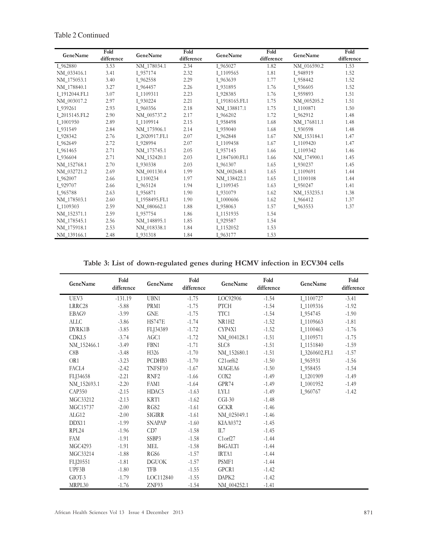| GeneName      | Fold       | GeneName      | Fold       | GeneName      | Fold       | GeneName    | Fold       |
|---------------|------------|---------------|------------|---------------|------------|-------------|------------|
|               | difference |               | difference |               | difference |             | difference |
| I_962880      | 3.53       | NM 178034.1   | 2.34       | I 965027      | 1.82       | NM_016590.2 | 1.53       |
| NM 033416.1   | 3.41       | I 957174      | 2.32       | I 1109565     | 1.81       | I 948919    | 1.52       |
| NM 175053.1   | 3.40       | I 962558      | 2.29       | I 963639      | 1.77       | I 958442    | 1.52       |
| NM 178840.1   | 3.27       | I 964457      | 2.26       | I 931895      | 1.76       | I 936605    | 1.52       |
| I 1912044.FL1 | 3.07       | I 1109311     | 2.23       | I 928385      | 1.76       | I 959893    | 1.51       |
| NM 003017.2   | 2.97       | I 930224      | 2.21       | I 1918165.FL1 | 1.75       | NM 005205.2 | 1.51       |
| I 939261      | 2.93       | I 960356      | 2.18       | NM 138817.1   | 1.75       | I 1100871   | 1.50       |
| I_2015145.FL2 | 2.90       | NM 005737.2   | 2.17       | I 966202      | 1.72       | I 962912    | 1.48       |
| I_1001950     | 2.89       | I 1109914     | 2.15       | I 958498      | 1.68       | NM_176811.1 | 1.48       |
| I 931549      | 2.84       | NM 175906.1   | 2.14       | I 959040      | 1.68       | I 930598    | 1.48       |
| I 928342      | 2.76       | I 2020917.FL1 | 2.07       | I 962848      | 1.67       | NM_153184.1 | 1.47       |
| I 962649      | 2.72       | I 928994      | 2.07       | I 1109458     | 1.67       | I 1109420   | 1.47       |
| I 961465      | 2.71       | NM 175745.1   | 2.05       | I 957145      | 1.66       | I 1109342   | 1.46       |
| I 936604      | 2.71       | NM 152420.1   | 2.03       | I_1847600.FL1 | 1.66       | NM 174900.1 | 1.45       |
| NM 152768.1   | 2.70       | I 930338      | 2.03       | I 961307      | 1.65       | I 930237    | 1.45       |
| NM 032721.2   | 2.69       | NM 001130.4   | 1.99       | NM 002648.1   | 1.65       | I 1109691   | 1.44       |
| I 962007      | 2.66       | I 1100234     | 1.97       | NM 138422.1   | 1.65       | I 1100108   | 1.44       |
| I 929707      | 2.66       | I 965124      | 1.94       | I 1109345     | 1.63       | I 950247    | 1.41       |
| I 965788      | 2.63       | I 956871      | 1.90       | I 931079      | 1.62       | NM_153235.1 | 1.38       |
| NM 178503.1   | 2.60       | I 1958495.FL1 | 1.90       | I 1000606     | 1.62       | I 966412    | 1.37       |
| I 1109303     | 2.59       | NM_080662.1   | 1.88       | I 958063      | 1.57       | I 963553    | 1.37       |
| NM 152371.1   | 2.59       | I 957754      | 1.86       | I 1151935     | 1.54       |             |            |
| NM 178545.1   | 2.56       | NM 148895.1   | 1.85       | I 929587      | 1.54       |             |            |
| NM 175918.1   | 2.53       | NM 018338.1   | 1.84       | I 1152052     | 1.53       |             |            |
| NM 139166.1   | 2.48       | I 931318      | 1.84       | I 963177      | 1.53       |             |            |

Table 2 Continued

Table 3: List of down-regulated genes during HCMV infection in ECV304 cells

| GeneName        | Fold<br>difference | GeneName               | Fold<br>difference | GeneName                         | Fold<br>difference | GeneName      | Fold<br>difference |
|-----------------|--------------------|------------------------|--------------------|----------------------------------|--------------------|---------------|--------------------|
| UEV3            | $-131.19$          | UBN1                   | $-1.75$            | LOC92906                         | $-1.54$            | I 1100727     | $-3.41$            |
| LRRC28          | $-5.88$            | PRM1                   | $-1.75$            | <b>PTCH</b>                      | $-1.54$            | I 1109316     | $-1.92$            |
| EBAG9           | $-3.99$            | <b>GNE</b>             | $-1.75$            | TTC1                             | $-1.54$            | I 954745      | $-1.90$            |
| <b>ALLC</b>     | $-3.86$            | <b>HS747E</b>          | $-1.74$            | NR1H2                            | $-1.52$            | I 1109663     | $-1.81$            |
| DYRK1B          | $-3.85$            | FLJ34389               | $-1.72$            | CYP4X1                           | $-1.52$            | I 1100463     | $-1.76$            |
| CDKL5           | $-3.74$            | AGC1                   | $-1.72$            | NM 004128.1                      | $-1.51$            | I 1109571     | $-1.75$            |
| NM 152466.1     | $-3.49$            | FBN1                   | $-1.71$            | SLC8                             | $-1.51$            | I 1151840     | $-1.59$            |
| C8B             | $-3.48$            | H <sub>326</sub>       | $-1.70$            | NM 152680.1                      | $-1.51$            | I 3260602.FL1 | $-1.57$            |
| OR <sub>1</sub> | $-3.23$            | PCDHB3                 | $-1.70$            | $C21$ or $f62$                   | $-1.50$            | I_965931      | $-1.56$            |
| FACL4           | $-2.42$            | TNFSF10                | $-1.67$            | MAGEA6                           | $-1.50$            | I 958455      | $-1.54$            |
| FLJ34658        | $-2.21$            | RNF <sub>2</sub>       | $-1.66$            | COX2                             | $-1.49$            | I 1201909     | $-1.49$            |
| NM 152693.1     | $-2.20$            | FAM1                   | $-1.64$            | GPR74                            | $-1.49$            | I 1001952     | $-1.49$            |
| CAP350          | $-2.15$            | HDAC5                  | $-1.63$            | LYL1                             | $-1.49$            | I 960767      | $-1.42$            |
| MGC33212        | $-2.13$            | KRT1                   | $-1.62$            | $CGI-30$                         | $-1.48$            |               |                    |
| MGC15737        | $-2.00$            | RGS2                   | $-1.61$            | <b>GCKR</b>                      | $-1.46$            |               |                    |
| ALG12           | $-2.00$            | SIGIRR                 | $-1.61$            | NM_025049.1                      | $-1.46$            |               |                    |
| DDX11           | $-1.99$            | <b>SNAPAP</b>          | $-1.60$            | <b>KIAA0372</b>                  | $-1.45$            |               |                    |
| RPL24           | $-1.96$            | CD7                    | $-1.58$            | IL7                              | $-1.45$            |               |                    |
| <b>FAM</b>      | $-1.91$            | SSBP3                  | $-1.58$            | $C1$ orf $27$                    | $-1.44$            |               |                    |
| <b>MGC4293</b>  | $-1.91$            | MEL                    | $-1.58$            | B <sub>4</sub> GALT <sub>1</sub> | $-1.44$            |               |                    |
| MGC33214        | $-1.88$            | RGS <sub>6</sub>       | $-1.57$            | IRTA1                            | $-1.44$            |               |                    |
| FLJ20551        | $-1.81$            | $\operatorname{DGUOK}$ | $-1.57$            | PSMF1                            | $-1.44$            |               |                    |
| UPF3B           | $-1.80$            | <b>TFB</b>             | $-1.55$            | GPCR1                            | $-1.42$            |               |                    |
| GIOT-3          | $-1.79$            | LOC112840              | $-1.55$            | DAPK2                            | $-1.42$            |               |                    |
| MRPL30          | $-1.76$            | ZNF93                  | $-1.54$            | NM 004252.1                      | $-1.41$            |               |                    |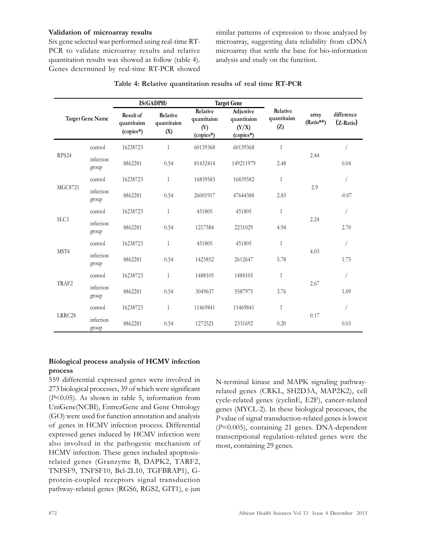#### Validation of microarray results

Six gene selected was performed using real-time RT-PCR to validate microarray results and relative quantitation results was showed as follow (table 4). Genes determined by real-time RT-PCR showed similar patterns of expression to those analyzed by microarray, suggesting data reliability from cDNA microarray that settle the base for bio-information analysis and study on the function.

|                |                         |                                                | IS(GADPH)                      |                                             | <b>Target Gene</b>                             |                                |                    |                         |
|----------------|-------------------------|------------------------------------------------|--------------------------------|---------------------------------------------|------------------------------------------------|--------------------------------|--------------------|-------------------------|
|                | <b>Target Gene Name</b> | <b>Result of</b><br>quantitaion<br>$(copies*)$ | Relative<br>quantitaion<br>(X) | Relative<br>quantitaion<br>(Y)<br>(copies*) | Adjustive<br>quantitaion<br>(Y/X)<br>(copies*) | Relative<br>quantitaion<br>(Z) | array<br>(Ratio**) | difference<br>(Z-Ratio) |
| RPS24          | control                 | 16238723                                       | $\mathbf{1}$                   | 60139368                                    | 60139368                                       | $\mathbf{1}$                   |                    |                         |
|                | infection<br>group      | 8862281                                        | 0.54                           | 81432414                                    | 149211979                                      | 2.48                           | 2.44               | 0.04                    |
|                | control                 | 16238723                                       | $\mathbf{1}$                   | 16839583                                    | 16839582                                       | 1                              |                    |                         |
| <b>MGC8721</b> | infection<br>group      | 8862281                                        | 0.54                           | 26001917                                    | 47644388                                       | 2.83                           | 2.9                | $-0.07$                 |
|                | control                 | 16238723                                       | $\mathbf{1}$                   | 451805                                      | 451805                                         | $\mathbf{1}$                   |                    |                         |
| SLC3           | infection<br>group      | 8862281                                        | 0.54                           | 1217584                                     | 2231029                                        | 4.94                           | 2.24               | 2.70                    |
|                | control                 | 16238723                                       | $\mathbf{1}$                   | 451805                                      | 451805                                         | $\mathbf{1}$                   |                    |                         |
| MST4           | infection<br>group      | 8862281                                        | 0.54                           | 1425852                                     | 2612647                                        | 5.78                           | 4.03               | 1.75                    |
|                | control                 | 16238723                                       | $\mathbf{1}$                   | 1488105                                     | 1488105                                        | $\mathbf{1}$                   |                    |                         |
| TRAF2          | infection<br>group      | 8862281                                        | 0.54                           | 3049637                                     | 5587975                                        | 3.76                           | 2.67               | 1.09                    |
|                | control                 | 16238723                                       | $\mathbf{1}$                   | 11469841                                    | 11469841                                       | $\mathbf{1}$                   |                    |                         |
| LRRC28         | infection<br>group      | 8862281                                        | 0.54                           | 1272521                                     | 2331692                                        | 0.20                           | 0.17               | 0.03                    |

#### Table 4: Relative quantitation results of real time RT**-PCR**

#### Biological process analysis of HCMV infection process

559 differential expressed genes were involved in 273 biological processes, 39 of which were significant (P<0.05). As shown in table 5, information from UniGene(NCBI), EntrezGene and Gene Ontology (GO) were used for function annotation and analysis of genes in HCMV infection process. Differential expressed genes induced by HCMV infection were also involved in the pathogenic mechanism of HCMV infection. These genes included apoptosisrelated genes (Granzyme B, DAPK2, TARF2, TNFSF9, TNFSF10, Bcl-2L10, TGFBRAP1), Gprotein-coupled receptors signal transduction pathway-related genes (RGS6, RGS2, GIT1), c-jun

N-terminal kinase and MAPK signaling pathwayrelated genes (CRKL, SH2D3A, MAP2K2), cell cycle-related genes (cyclinE, E2F), cancer-related genes (MYCL-2). In these biological processes, the P value of signal transduction-related genes is lowest (P=0.005), containing 21 genes. DNA-dependent transcriptional regulation-related genes were the most, containing 29 genes.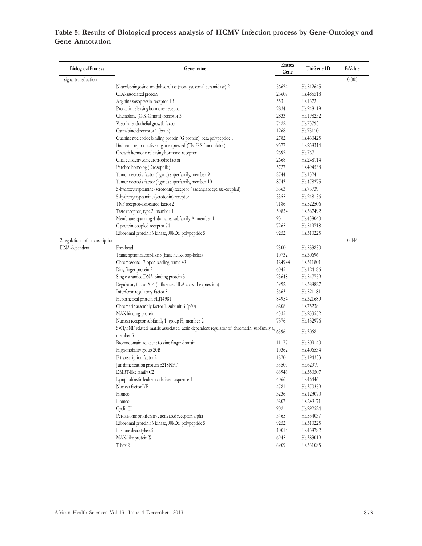## **T**able 5: Results of Biological process analysis of HCMV Infection process by Gene-Ontology and Gene Annotation

| <b>Biological Process</b>      | Gene name                                                                                            | Entrez<br>Gene | UniGene ID             | P-Value |
|--------------------------------|------------------------------------------------------------------------------------------------------|----------------|------------------------|---------|
| 1. signal transduction         |                                                                                                      |                |                        | 0.005   |
|                                | N-acylsphingosine amidohydrolase (non-lysosomal ceramidase) 2                                        | 56624          | Hs.512645              |         |
|                                | CD2-associated protein                                                                               | 23607          | Hs.485518              |         |
|                                | Arginine vasopressin receptor 1B                                                                     | 553            | Hs.1372                |         |
|                                | Prolactin releasing hormone receptor                                                                 | 2834           | Hs.248119              |         |
|                                | Chemokine (C-X-C motif) receptor 3                                                                   | 2833           | Hs.198252              |         |
|                                | Vascular endothelial growth factor                                                                   | 7422           | Hs.73793               |         |
|                                | Cannabinoid receptor 1 (brain)                                                                       | 1268           | H <sub>s.75110</sub>   |         |
|                                | Guanine nucleotide binding protein (G protein), beta polypeptide 1                                   | 2782           | Hs.430425              |         |
|                                | Brain and reproductive organ-expressed (TNFRSF modulator)                                            | 9577           | Hs.258314              |         |
|                                | Growth hormone releasing hormone receptor                                                            | 2692           | Hs.767                 |         |
|                                | Glial cell derived neurotrophic factor                                                               | 2668           | Hs.248114              |         |
|                                | Patched homolog (Drosophila)                                                                         | 5727           | H <sub>s</sub> .494538 |         |
|                                | Tumor necrosis factor (ligand) superfamily, member 9                                                 | 8744           | H <sub>s</sub> .1524   |         |
|                                | Tumor necrosis factor (ligand) superfamily, member 10                                                | 8743           | Hs.478275              |         |
|                                | 5-hydroxytryptamine (serotonin) receptor 7 (adenylate cyclase-coupled)                               | 3363           | Hs.73739               |         |
|                                | 5-hydroxytryptamine (serotonin) receptor                                                             | 3355           | Hs.248136              |         |
|                                | TNF receptor-associated factor 2                                                                     | 7186           | Hs.522506              |         |
|                                | Taste receptor, type 2, member 1                                                                     | 50834          | Hs.567492              |         |
|                                | Membrane-spanning 4-domains, subfamily A, member 1                                                   | 931            | Hs.438040              |         |
|                                | G protein-coupled receptor 74                                                                        | 7265           | Hs.519718              |         |
|                                | Ribosomal protein S6 kinase, 90kDa, polypeptide 5                                                    | 9252           | Hs.510225              |         |
|                                |                                                                                                      |                |                        |         |
| 2.regulation of transcription, | Forkhead                                                                                             | 2300           |                        | 0.044   |
| DNA-dependent                  |                                                                                                      |                | Hs.533830              |         |
|                                | Transcription factor-like 5 (basic helix-loop-helix)                                                 | 10732          | Hs.30696               |         |
|                                | Chromosome 17 open reading frame 49                                                                  | 124944         | Hs.511801              |         |
|                                | Ringfinger protein 2                                                                                 | 6045           | H <sub>s</sub> .124186 |         |
|                                | Single stranded DNA binding protein 3                                                                | 23648          | Hs.547759              |         |
|                                | Regulatory factor X, 4 (influences HLA class II expression)                                          | 5992           | Hs.388827              |         |
|                                | Interferon regulatory factor 5                                                                       | 3663           | Hs.521181              |         |
|                                | Hypothetical protein FLJ14981                                                                        | 84954          | Hs.321689              |         |
|                                | Chromatin assembly factor 1, subunit B (p60)                                                         | 8208           | Hs.75238               |         |
|                                | MAX binding protein                                                                                  | 4335           | Hs.253552              |         |
|                                | Nuclear receptor subfamily 1, group H, member 2                                                      | 7376           | Hs.432976              |         |
|                                | SWI/SNF related, matrix associated, actin dependent regulator of chromatin, subfamily a,<br>member 3 | 6596           | Hs.3068                |         |
|                                | Bromodomain adjacent to zinc finger domain,                                                          | 11177          | Hs.509140              |         |
|                                | High-mobility group 20B                                                                              | 10362          | Hs.406534              |         |
|                                | E transcription factor 2                                                                             | 1870           | Hs.194333              |         |
|                                | Jun dimerization protein p21SNFT                                                                     | 55509          | Hs.62919               |         |
|                                | DMRT-like family C2                                                                                  | 63946          | Hs.350507              |         |
|                                | Lymphoblastic leukemia derived sequence 1                                                            | 4066           | Hs.46446               |         |
|                                | Nuclear factor I/B                                                                                   | 4781           | Hs.370359              |         |
|                                | Homeo                                                                                                | 3236           | Hs.123070              |         |
|                                | Homeo                                                                                                | 3207           | Hs.249171              |         |
|                                |                                                                                                      |                |                        |         |
|                                | Cyclin H                                                                                             | 902            | Hs.292524              |         |
|                                | Peroxisome proliferative activated receptor, alpha                                                   | 5465           | Hs.534037              |         |
|                                | Ribosomal protein S6 kinase, 90kDa, polypeptide 5                                                    | 9252           | Hs.510225              |         |
|                                | Histone deacetylase 5                                                                                | 10014          | Hs.438782              |         |
|                                | MAX-like protein X                                                                                   | 6945           | Hs.383019              |         |
|                                | T-box 2                                                                                              | 6909           | Hs.531085              |         |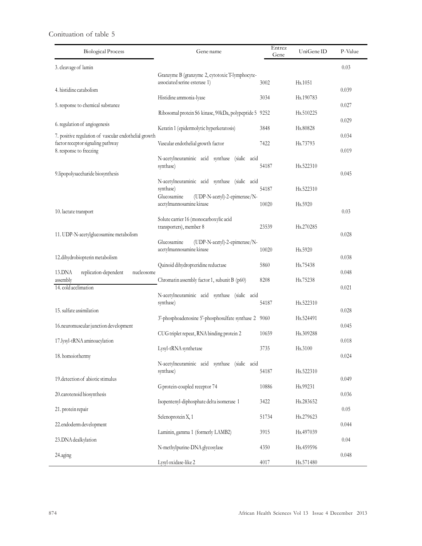## Conituation of table 5

| <b>Biological Process</b>                                                                  | Gene name                                                                        | Entrez<br>Gene | UniGene ID | P-Value        |
|--------------------------------------------------------------------------------------------|----------------------------------------------------------------------------------|----------------|------------|----------------|
| 3. cleavage of lamin                                                                       |                                                                                  |                |            | 0.03           |
|                                                                                            | Granzyme B (granzyme 2, cytotoxic T-lymphocyte-<br>associated serine esterase 1) | 3002           | Hs.1051    |                |
| 4. histidine catabolism                                                                    | Histidine ammonia-lyase                                                          | 3034           | Hs.190783  | 0.039          |
| 5. response to chemical substance                                                          | Ribosomal protein S6 kinase, 90kDa, polypeptide 5 9252                           |                | Hs.510225  | 0.027          |
| 6. regulation of angiogenesis                                                              | Keratin 1 (epidermolytic hyperkeratosis)                                         | 3848           | Hs.80828   | 0.029          |
| 7. positive regulation of vascular endothelial growth<br>factor receptor signaling pathway | Vascular endothelial growth factor                                               | 7422           | Hs.73793   | 0.034          |
| 8. response to freezing                                                                    | N-acetylneuraminic acid synthase (sialic acid<br>synthase)                       | 54187          | Hs.522310  | 0.019          |
| 9.lipopolysaccharide biosynthesis                                                          | N-acetylneuraminic acid synthase (sialic acid                                    |                |            | 0.045          |
|                                                                                            | synthase)<br>Glucosamine<br>(UDP-N-acetyl)-2-epimerase/N-                        | 54187          | Hs.522310  |                |
| 10. lactate transport                                                                      | acetylmannosamine kinase                                                         | 10020          | Hs.5920    | 0.03           |
| 11. UDP-N-acetylglucosamine metabolism                                                     | Solute carrier 16 (monocarboxylic acid<br>transporters), member 8                | 23539          | Hs.270285  | 0.028          |
|                                                                                            | (UDP-N-acetyl)-2-epimerase/N-<br>Glucosamine<br>acetylmannosamine kinase         | 10020          | Hs.5920    |                |
| 12.dihydrobiopterin metabolism                                                             | Quinoid dihydropteridine reductase                                               | 5860           | Hs.75438   | 0.038          |
| 13.DNA<br>replication-dependent<br>nucleosome<br>assembly<br>14. cold acclimation          | Chromatin assembly factor 1, subunit B (p60)                                     | 8208           | Hs.75238   | 0.048<br>0.021 |
|                                                                                            | N-acetylneuraminic acid synthase (sialic acid<br>synthase)                       | 54187          | Hs.522310  |                |
| 15. sulfate assimilation                                                                   | 3'-phosphoadenosine 5'-phosphosulfate synthase 2 9060                            |                | Hs.524491  | 0.028          |
| 16.neuromuscular junction development                                                      | CUG triplet repeat, RNA binding protein 2                                        | 10659          | Hs.309288  | 0.045          |
| 17.lysyl-tRNA aminoacylation<br>18. homoiothermy                                           | Lysyl-tRNA synthetase                                                            | 3735           | Hs.3100    | 0.018<br>0.024 |
|                                                                                            | N-acetylneuraminic acid synthase (sialic acid<br>synthase)                       | 54187          | Hs.522310  |                |
| 19. detection of abiotic stimulus                                                          | G protein-coupled receptor 74                                                    | 10886          | Hs.99231   | 0.049          |
| 20.carotenoid biosynthesis                                                                 | Isopentenyl-diphosphate delta isomerase 1                                        | 3422           | Hs.283652  | 0.036          |
| 21. protein repair<br>22.endoderm development                                              | Selenoprotein X, 1                                                               | 51734          | Hs.279623  | 0.05<br>0.044  |
| 23.DNA dealkylation                                                                        | Laminin, gamma 1 (formerly LAMB2)                                                | 3915           | Hs.497039  | 0.04           |
| 24.aging                                                                                   | N-methylpurine-DNA glycosylase                                                   | 4350           | Hs.459596  | 0.048          |
|                                                                                            | Lysyl oxidase-like 2                                                             | 4017           | Hs.571480  |                |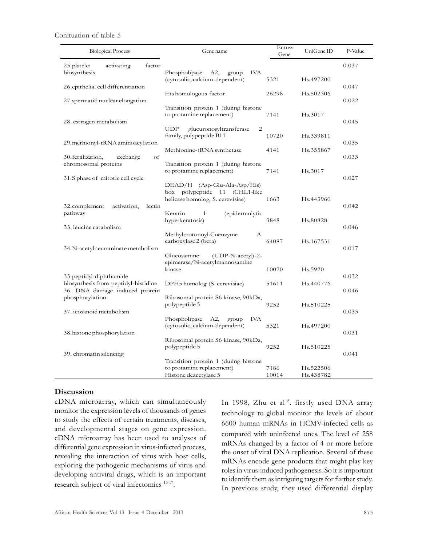Conituation of table 5

| <b>Biological Process</b>                                              | Gene name                                                                                           | Entrez<br>Gene | UniGene ID             | P-Value |
|------------------------------------------------------------------------|-----------------------------------------------------------------------------------------------------|----------------|------------------------|---------|
| 25. platelet<br>factor<br>activating<br>biosynthesis                   | Phospholipase<br>A2,<br><b>IVA</b><br>group                                                         |                |                        | 0.037   |
| 26 epithelial cell differentiation                                     | (cytosolic, calcium-dependent)                                                                      | 5321           | Hs.497200              | 0.047   |
| 27 spermatid nuclear elongation                                        | Ets homologous factor                                                                               | 26298          | Hs.502306              | 0.022   |
| 28. estrogen metabolism                                                | Transition protein 1 (during histone<br>to protamine replacement)                                   | 7141           | Hs.3017                | 0.045   |
| 29. methionyl-tRNA aminoacylation                                      | <b>UDP</b><br>glucuronosyltransferase<br>2<br>family, polypeptide B11                               | 10720          | Hs.339811              | 0.035   |
| of<br>30. fertilization,<br>exchange                                   | Methionine-tRNA synthetase                                                                          | 4141           | Hs.355867              | 0.033   |
| chromosomal proteins<br>31.S phase of mitotic cell cycle               | Transition protein 1 (during histone<br>to protamine replacement)                                   | 7141           | Hs.3017                | 0.027   |
| 32.complement<br>activation,<br>lectin                                 | $DEAD/H$ (Asp-Glu-Ala-Asp/His)<br>box polypeptide 11 (CHL1-like<br>helicase homolog, S. cerevisiae) | 1663           | Hs.443960              | 0.042   |
| pathway<br>33. leucine catabolism                                      | Keratin<br>$\mathbf{1}$<br>(epidermolytic<br>hyperkeratosis)                                        | 3848           | Hs.80828               | 0.046   |
| 34. N-acetylneuraminate metabolism                                     | Methylcrotonoyl-Coenzyme<br>А<br>carboxylase 2 (beta)                                               | 64087          | Hs.167531              | 0.017   |
| 35. peptidyl-diphthamide                                               | Glucosamine<br>$(UDP-N-accept) - 2-$<br>epimerase/N-acetylmannosamine<br>kinase                     | 10020          | Hs.5920                | 0.032   |
| biosynthesis from peptidyl-histidine<br>36. DNA damage induced protein | DPH5 homolog (S. cerevisiae)                                                                        | 51611          | Hs.440776              | 0.046   |
| phosphorylation<br>37. icosanoid metabolism                            | Ribosomal protein S6 kinase, 90kDa,<br>polypeptide 5                                                | 9252           | Hs.510225              | 0.033   |
|                                                                        | Phospholipase<br>A2,<br>IVA<br>group<br>(cytosolic, calcium-dependent)                              | 5321           | Hs.497200              |         |
| 38. histone phosphorylation                                            | Ribosomal protein S6 kinase, 90kDa,<br>polypeptide 5                                                | 9252           | Hs.510225              | 0.031   |
| 39. chromatin silencing                                                | Transition protein 1 (during histone                                                                |                |                        | 0.041   |
|                                                                        | to protamine replacement)<br>Histone deacetylase 5                                                  | 7186<br>10014  | Hs.522506<br>Hs.438782 |         |

#### Discussion

cDNA microarray, which can simultaneously monitor the expression levels of thousands of genes to study the effects of certain treatments, diseases, and developmental stages on gene expression. cDNA microarray has been used to analyses of differential gene expression in virus-infected process, revealing the interaction of virus with host cells, exploring the pathogenic mechanisms of virus and developing antiviral drugs, which is an important research subject of viral infectomics 15-17 .

In 1998, Zhu et al<sup>18</sup>. firstly used DNA array technology to global monitor the levels of about 6600 human mRNAs in HCMV-infected cells as compared with uninfected ones. The level of 258 mRNAs changed by a factor of 4 or more before the onset of viral DNA replication. Several of these mRNAs encode gene products that might play key roles in virus-induced pathogenesis. So it is important to identify them as intriguing targets for further study. In previous study, they used differential display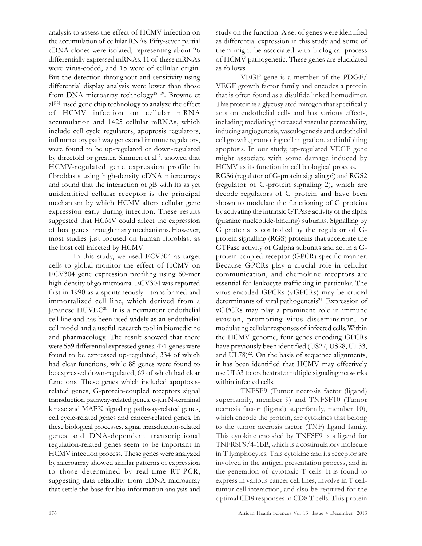analysis to assess the effect of HCMV infection on the accumulation of cellular RNAs. Fifty-seven partial cDNA clones were isolated, representing about 26 differentially expressed mRNAs. 11 of these mRNAs were virus-coded, and 15 were of cellular origin. But the detection throughout and sensitivity using differential display analysis were lower than those from DNA microarray technology<sup>18, 19</sup>. Browne et al<sup>[11]</sup>. used gene chip technology to analyze the effect of HCMV infection on cellular mRNA accumulation and 1425 cellular mRNAs, which include cell cycle regulators, apoptosis regulators, inflammatory pathway genes and immune regulators, were found to be up-regulated or down-regulated by threefold or greater. Simmen et al<sup>12</sup>. showed that HCMV-regulated gene expression profile in fibroblasts using high-density cDNA microarrays and found that the interaction of gB with its as yet unidentified cellular receptor is the principal mechanism by which HCMV alters cellular gene expression early during infection. These results suggested that HCMV could affect the expression of host genes through many mechanisms. However, most studies just focused on human fibroblast as the host cell infected by HCMV.

In this study, we used ECV304 as target cells to global monitor the effect of HCMV on ECV304 gene expression profiling using 60-mer high-density oligo microarra. ECV304 was reported first in 1990 as a spontaneously - transformed and immortalized cell line, which derived from a Japanese HUVEC<sup>20</sup>. It is a permanent endothelial cell line and has been used widely as an endothelial cell model and a useful research tool in biomedicine and pharmacology. The result showed that there were 559 differential expressed genes. 471 genes were found to be expressed up-regulated, 334 of which had clear functions, while 88 genes were found to be expressed down-regulated, 69 of which had clear functions. These genes which included apoptosisrelated genes, G-protein-coupled receptors signal transduction pathway-related genes, c-jun N-terminal kinase and MAPK signaling pathway-related genes, cell cycle-related genes and cancer-related genes. In these biological processes, signal transduction-related genes and DNA-dependent transcriptional regulation-related genes seem to be important in HCMV infection process. These genes were analyzed by microarray showed similar patterns of expression to those determined by real-time RT-PCR, suggesting data reliability from cDNA microarray that settle the base for bio-information analysis and study on the function. A set of genes were identified as differential expression in this study and some of them might be associated with biological process of HCMV pathogenetic. These genes are elucidated as follows.

VEGF gene is a member of the PDGF/ VEGF growth factor family and encodes a protein that is often found as a disulfide linked homodimer. This protein is a glycosylated mitogen that specifically acts on endothelial cells and has various effects, including mediating increased vascular permeability, inducing angiogenesis, vasculogenesis and endothelial cell growth, promoting cell migration, and inhibiting apoptosis. In our study, up-regulated VEGF gene might associate with some damage induced by HCMV as its function in cell biological process.

RGS6 (regulator of G-protein signaling 6) and RGS2 (regulator of G-protein signaling 2), which are decode regulators of G protein and have been shown to modulate the functioning of G proteins by activating the intrinsic GTPase activity of the alpha (guanine nucleotide-binding) subunits. Signalling by G proteins is controlled by the regulator of Gprotein signalling (RGS) proteins that accelerate the GTPase activity of Galpha subunits and act in a Gprotein-coupled receptor (GPCR)-specific manner. Because GPCRs play a crucial role in cellular communication, and chemokine receptors are essential for leukocyte trafficking in particular. The virus-encoded GPCRs (vGPCRs) may be crucial determinants of viral pathogenesis<sup>21</sup>. Expression of vGPCRs may play a prominent role in immune evasion, promoting virus dissemination, or modulating cellular responses of infected cells. Within the HCMV genome, four genes encoding GPCRs have previously been identified (US27, US28, UL33, and  $UL78)^{22}$ . On the basis of sequence alignments, it has been identified that HCMV may effectively use UL33 to orchestrate multiple signaling networks within infected cells.

TNFSF9 (Tumor necrosis factor (ligand) superfamily, member 9) and TNFSF10 (Tumor necrosis factor (ligand) superfamily, member 10), which encode the protein, are cytokines that belong to the tumor necrosis factor (TNF) ligand family. This cytokine encoded by TNFSF9 is a ligand for TNFRSF9/4-1BB, which is a costimulatory molecule in T lymphocytes. This cytokine and its receptor are involved in the antigen presentation process, and in the generation of cytotoxic T cells. It is found to express in various cancer cell lines, involve in T celltumor cell interaction, and also be required for the optimal CD8 responses in CD8 T cells. This protein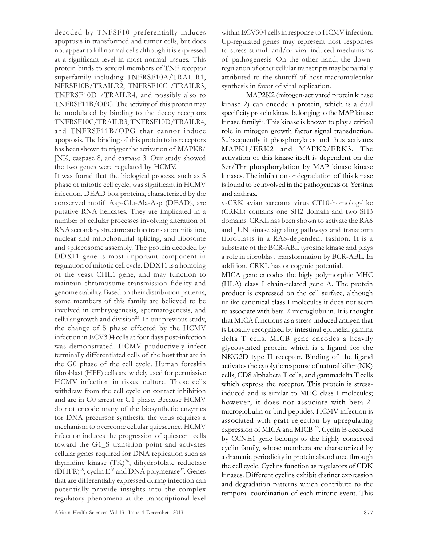decoded by TNFSF10 preferentially induces apoptosis in transformed and tumor cells, but does not appear to kill normal cells although it is expressed at a significant level in most normal tissues. This protein binds to several members of TNF receptor superfamily including TNFRSF10A/TRAILR1, NFRSF10B/TRAILR2, TNFRSF10C /TRAILR3, TNFRSF10D /TRAILR4, and possibly also to TNFRSF11B/OPG. The activity of this protein may be modulated by binding to the decoy receptors TNFRSF10C/TRAILR3, TNFRSF10D/TRAILR4, and TNFRSF11B/OPG that cannot induce apoptosis. The binding of this protein to its receptors has been shown to trigger the activation of MAPK8/ JNK, caspase 8, and caspase 3. Our study showed the two genes were regulated by HCMV.

It was found that the biological process, such as S phase of mitotic cell cycle, was significant in HCMV infection. DEAD box proteins, characterized by the conserved motif Asp-Glu-Ala-Asp (DEAD), are putative RNA helicases. They are implicated in a number of cellular processes involving alteration of RNA secondary structure such as translation initiation, nuclear and mitochondrial splicing, and ribosome and spliceosome assembly. The protein decoded by DDX11 gene is most important component in regulation of mitotic cell cycle. DDX11 is a homolog of the yeast CHL1 gene, and may function to maintain chromosome transmission fidelity and genome stability. Based on their distribution patterns, some members of this family are believed to be involved in embryogenesis, spermatogenesis, and cellular growth and division<sup>23</sup>. In our previous study, the change of S phase effected by the HCMV infection in ECV304 cells at four days post-infection was demonstrated. HCMV productively infect terminally differentiated cells of the host that are in the G0 phase of the cell cycle. Human foreskin fibroblast (HFF) cells are widely used for permissive HCMV infection in tissue culture. These cells withdraw from the cell cycle on contact inhibition and are in G0 arrest or G1 phase. Because HCMV do not encode many of the biosynthetic enzymes for DNA precursor synthesis, the virus requires a mechanism to overcome cellular quiescence. HCMV infection induces the progression of quiescent cells toward the G1\_S transition point and activates cellular genes required for DNA replication such as thymidine kinase  $(TK)^{24}$ , dihydrofolate reductase  $(DHFR)^{25}$ , cyclin  $E^{26}$  and DNA polymerase<sup>27</sup>. Genes that are differentially expressed during infection can potentially provide insights into the complex regulatory phenomena at the transcriptional level

African Health Sciences Vol 13 Issue 4 December 2013 877

within ECV304 cells in response to HCMV infection. Up-regulated genes may represent host responses to stress stimuli and/or viral induced mechanisms of pathogenesis. On the other hand, the downregulation of other cellular transcripts may be partially attributed to the shutoff of host macromolecular synthesis in favor of viral replication.

MAP2K2 (mitogen-activated protein kinase kinase 2) can encode a protein, which is a dual specificity protein kinase belonging to the MAP kinase kinase family<sup>28</sup>. This kinase is known to play a critical role in mitogen growth factor signal transduction. Subsequently it phosphorylates and thus activates MAPK1/ERK2 and MAPK2/ERK3. The activation of this kinase itself is dependent on the Ser/Thr phosphorylation by MAP kinase kinase kinases. The inhibition or degradation of this kinase is found to be involved in the pathogenesis of Yersinia and anthrax.

v-CRK avian sarcoma virus CT10-homolog-like (CRKL) contains one SH2 domain and two SH3 domains. CRKL has been shown to activate the RAS and JUN kinase signaling pathways and transform fibroblasts in a RAS-dependent fashion. It is a substrate of the BCR-ABL tyrosine kinase and plays a role in fibroblast transformation by BCR-ABL. In addition, CRKL has oncogenic potential.

MICA gene encodes the higly polymorphic MHC (HLA) class I chain-related gene A. The protein product is expressed on the cell surface, although unlike canonical class I molecules it does not seem to associate with beta-2-microglobulin. It is thought that MICA functions as a stress-induced antigen that is broadly recognized by intestinal epithelial gamma delta T cells. MICB gene encodes a heavily glycosylated protein which is a ligand for the NKG2D type II receptor. Binding of the ligand activates the cytolytic response of natural killer (NK) cells, CD8 alphabeta T cells, and gammadelta T cells which express the receptor. This protein is stressinduced and is similar to MHC class I molecules; however, it does not associate with beta-2 microglobulin or bind peptides. HCMV infection is associated with graft rejection by upregulating expression of MICA and MICB<sup>29</sup>. Cyclin E decoded by CCNE1 gene belongs to the highly conserved cyclin family, whose members are characterized by a dramatic periodicity in protein abundance through the cell cycle. Cyclins function as regulators of CDK kinases. Different cyclins exhibit distinct expression and degradation patterns which contribute to the temporal coordination of each mitotic event. This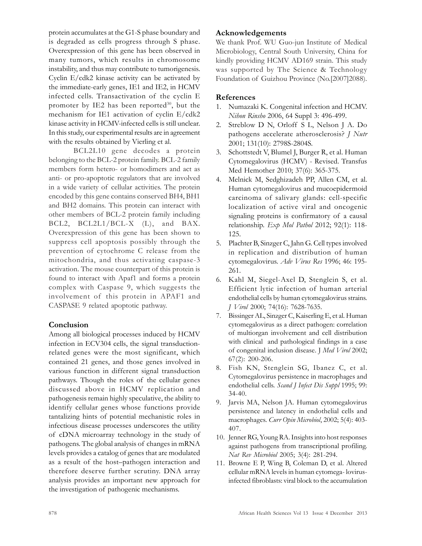protein accumulates at the G1-S phase boundary and is degraded as cells progress through S phase. Overexpression of this gene has been observed in many tumors, which results in chromosome instability, and thus may contribute to tumorigenesis. Cyclin E/cdk2 kinase activity can be activated by the immediate-early genes, IE1 and IE2, in HCMV infected cells. Transactivation of the cyclin E promoter by IE2 has been reported $30$ , but the mechanism for IE1 activation of cyclin E/cdk2 kinase activity in HCMV-infected cells is still unclear. In this study, our experimental results are in agreement with the results obtained by Vierling et al.

BCL2L10 gene decodes a protein belonging to the BCL-2 protein family. BCL-2 family members form hetero- or homodimers and act as anti- or pro-apoptotic regulators that are involved in a wide variety of cellular activities. The protein encoded by this gene contains conserved BH4, BH1 and BH2 domains. This protein can interact with other members of BCL-2 protein family including BCL2, BCL2L1/BCL-X (L), and BAX. Overexpression of this gene has been shown to suppress cell apoptosis possibly through the prevention of cytochrome C release from the mitochondria, and thus activating caspase-3 activation. The mouse counterpart of this protein is found to interact with Apaf1 and forms a protein complex with Caspase 9, which suggests the involvement of this protein in APAF1 and CASPASE 9 related apoptotic pathway.

## Conclusion

Among all biological processes induced by HCMV infection in ECV304 cells, the signal transductionrelated genes were the most significant, which contained 21 genes, and those genes involved in various function in different signal transduction pathways. Though the roles of the cellular genes discussed above in HCMV replication and pathogenesis remain highly speculative, the ability to identify cellular genes whose functions provide tantalizing hints of potential mechanistic roles in infectious disease processes underscores the utility of cDNA microarray technology in the study of pathogens. The global analysis of changes in mRNA levels provides a catalog of genes that are modulated as a result of the host–pathogen interaction and therefore deserve further scrutiny. DNA array analysis provides an important new approach for the investigation of pathogenic mechanisms.

#### Acknowledgements

We thank Prof. WU Guo-jun Institute of Medical Microbiology, Central South University, China for kindly providing HCMV AD169 strain. This study was supported by The Science & Technology Foundation of Guizhou Province (No.[2007]2088).

#### References

- 1. Numazaki K. Congenital infection and HCMV. Nihon Rinsho 2006, 64 Suppl 3: 496-499.
- 2. Streblow D N, Orloff S L, Nelson J A. Do pathogens accelerate atherosclerosis? J Nutr 2001; 131(10): 2798S-2804S.
- 3. Schottstedt V, Blumel J, Burger R, et al. Human Cytomegalovirus (HCMV) - Revised. Transfus Med Hemother 2010; 37(6): 365-375.
- 4. Melnick M, Sedghizadeh PP, Allen CM, et al. Human cytomegalovirus and mucoepidermoid carcinoma of salivary glands: cell-specific localization of active viral and oncogenic signaling proteins is confirmatory of a causal relationship. Exp Mol Pathol 2012; 92(1): 118- 125.
- 5. Plachter B, Sinzger C, Jahn G. Cell types involved in replication and distribution of human cytomegalovirus. Adv Virus Res 1996; 46: 195- 261.
- 6. Kahl M, Siegel-Axel D, Stenglein S, et al. Efficient lytic infection of human arterial endothelial cells by human cytomegalovirus strains. J Virol 2000; 74(16): 7628-7635.
- 7. Bissinger AL, Sinzger C, Kaiserling E, et al. Human cytomegalovirus as a direct pathogen: correlation of multiorgan involvement and cell distribution with clinical and pathological findings in a case of congenital inclusion disease. J Med Virol 2002; 67(2): 200-206.
- 8. Fish KN, Stenglein SG, Ibanez C, et al. Cytomegalovirus persistence in macrophages and endothelial cells. Scand J Infect Dis Suppl 1995; 99: 34-40.
- 9. Jarvis MA, Nelson JA. Human cytomegalovirus persistence and latency in endothelial cells and macrophages. Curr Opin Microbiol, 2002; 5(4): 403-407.
- 10. Jenner RG, Young RA. Insights into host responses against pathogens from transcriptional profiling. Nat Rev Microbiol 2005; 3(4): 281-294.
- 11. Browne E P, Wing B, Coleman D, et al. Altered cellular mRNA levels in human cytomega- lovirusinfected fibroblasts: viral block to the accumulation